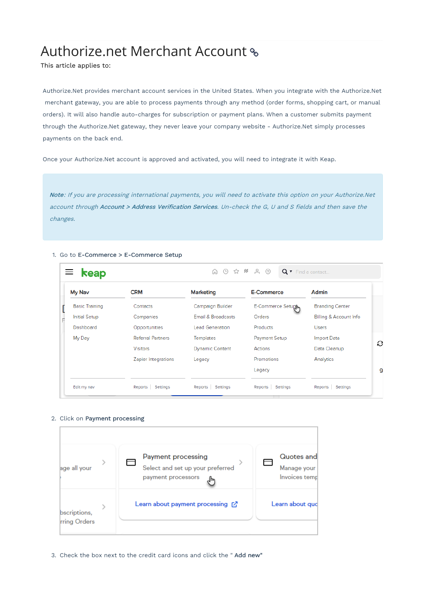# Authorize.net Merchant Account

This article applies to:

Authorize.Net provides merchant account services in the United States. When you integrate with the Authorize.Net merchant gateway, you are able to process payments through any method (order forms, shopping cart, or manual orders). It will also handle auto-charges for subscription or payment plans. When a customer submits payment through the Authorize.Net gateway, they never leave your company website - Authorize.Net simply processes payments on the back end.

Once your Authorize.Net account is approved and activated, you will need to integrate it with Keap.

Note: If you are processing international payments, you will need to activate this option on your Authorize.Net account through Account > Address Verification Services. Un-check the G, U and S fields and then save the changes.

#### 1. Go to E-Commerce > E-Commerce Setup

| $\equiv$ keap         |                          | ∩ ⊙ ☆ # ♀ ⑦            |                      | Q v Find a contact     |   |
|-----------------------|--------------------------|------------------------|----------------------|------------------------|---|
| My Nav                | <b>CRM</b>               | <b>Marketing</b>       | <b>E-Commerce</b>    | Admin                  |   |
| <b>Basic Training</b> | Contacts                 | Campaign Builder       | E-Commerce Setugh    | <b>Branding Center</b> |   |
| <b>Initial Setup</b>  | Companies                | Email & Broadcasts     | Orders               | Billing & Account Info |   |
| Dashboard             | Opportunities            | <b>Lead Generation</b> | Products             | <b>Users</b>           |   |
| My Day                | <b>Referral Partners</b> | <b>Templates</b>       | <b>Payment Setup</b> | <b>Import Data</b>     |   |
|                       | <b>Visitors</b>          | <b>Dynamic Content</b> | Actions              | Data Cleanup           | G |
|                       | Zapier Integrations      | Legacy                 | Promotions           | Analytics              |   |
|                       |                          |                        | Legacy               |                        | 9 |
| Edit my nav           | Reports Settings         | Settings<br>Reports    | Settings<br>Reports  | Reports<br>Settings    |   |

#### 2. Click on Payment processing



3. Check the box next to the credit card icons and click the " Add new"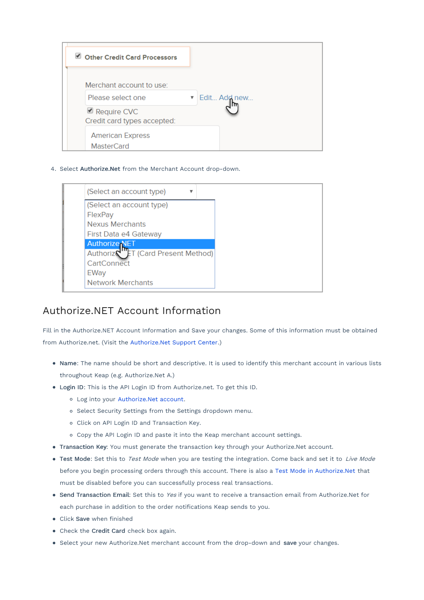| Other Credit Card Processors                              |              |
|-----------------------------------------------------------|--------------|
| Merchant account to use:                                  |              |
| Please select one                                         | Edit Add new |
| $\blacksquare$ Require CVC<br>Credit card types accepted: |              |
| <b>American Express</b><br><b>MasterCard</b>              |              |

4. Select Authorize.Net from the Merchant Account drop-down.

| (Select an account type)            |  |  |
|-------------------------------------|--|--|
| (Select an account type)            |  |  |
| FlexPay                             |  |  |
| <b>Nexus Merchants</b>              |  |  |
| First Data e4 Gateway               |  |  |
| <b>Authorize NET</b>                |  |  |
| Authoriz \"ET (Card Present Method) |  |  |
| CartConnect                         |  |  |
| EWay                                |  |  |
| <b>Network Merchants</b>            |  |  |

### Authorize.NET Account Information

Fill in the Authorize.NET Account Information and Save your changes. Some of this information must be obtained from Authorize.net. (Visit the Authorize.Net Support Center.)

- Name: The name should be short and descriptive. It is used to identify this merchant account in various lists throughout Keap (e.g. Authorize.Net A.)
- Login ID: This is the API Login ID from Authorize.net. To get this ID.
	- Log into your Authorize.Net account.
	- o Select Security Settings from the Settings dropdown menu.
	- o Click on API Login ID and Transaction Key.
	- Copy the API Login ID and paste it into the Keap merchant account settings.
- Transaction Key: You must generate the transaction key through your Authorize.Net account.
- Test Mode: Set this to Test Mode when you are testing the integration. Come back and set it to Live Mode before you begin processing orders through this account. There is also a Test Mode in Authorize.Net that must be disabled before you can successfully process real transactions.
- **Send Transaction Email:** Set this to Yes if you want to receive a transaction email from Authorize.Net for each purchase in addition to the order notifications Keap sends to you.
- Click Save when finished
- Check the Credit Card check box again.
- **•** Select your new Authorize.Net merchant account from the drop-down and save your changes.